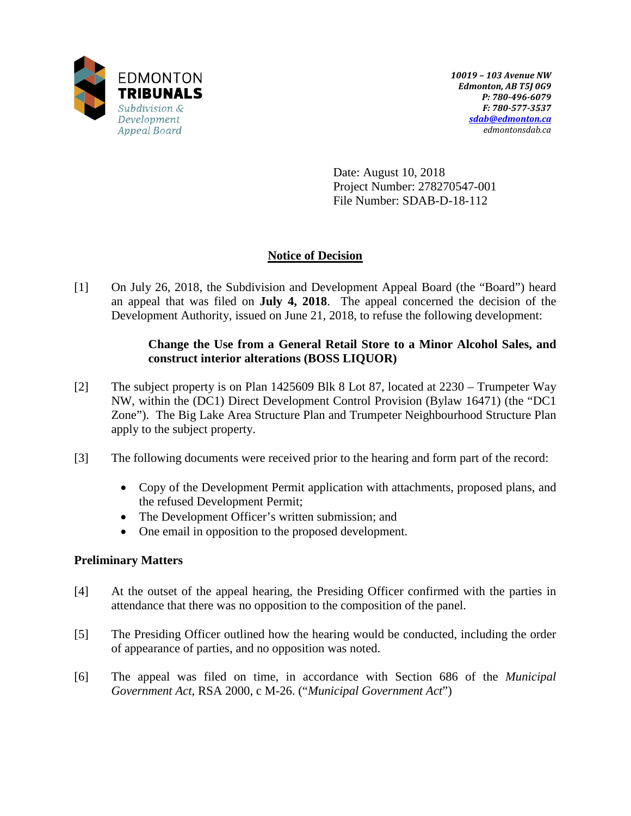

Date: August 10, 2018 Project Number: 278270547-001 File Number: SDAB-D-18-112

# **Notice of Decision**

[1] On July 26, 2018, the Subdivision and Development Appeal Board (the "Board") heard an appeal that was filed on **July 4, 2018**. The appeal concerned the decision of the Development Authority, issued on June 21, 2018, to refuse the following development:

## **Change the Use from a General Retail Store to a Minor Alcohol Sales, and construct interior alterations (BOSS LIQUOR)**

- [2] The subject property is on Plan 1425609 Blk 8 Lot 87, located at 2230 Trumpeter Way NW, within the (DC1) Direct Development Control Provision (Bylaw 16471) (the "DC1 Zone"). The Big Lake Area Structure Plan and Trumpeter Neighbourhood Structure Plan apply to the subject property.
- [3] The following documents were received prior to the hearing and form part of the record:
	- Copy of the Development Permit application with attachments, proposed plans, and the refused Development Permit;
	- The Development Officer's written submission; and
	- One email in opposition to the proposed development.

## **Preliminary Matters**

- [4] At the outset of the appeal hearing, the Presiding Officer confirmed with the parties in attendance that there was no opposition to the composition of the panel.
- [5] The Presiding Officer outlined how the hearing would be conducted, including the order of appearance of parties, and no opposition was noted.
- [6] The appeal was filed on time, in accordance with Section 686 of the *Municipal Government Act*, RSA 2000, c M-26. ("*Municipal Government Act*")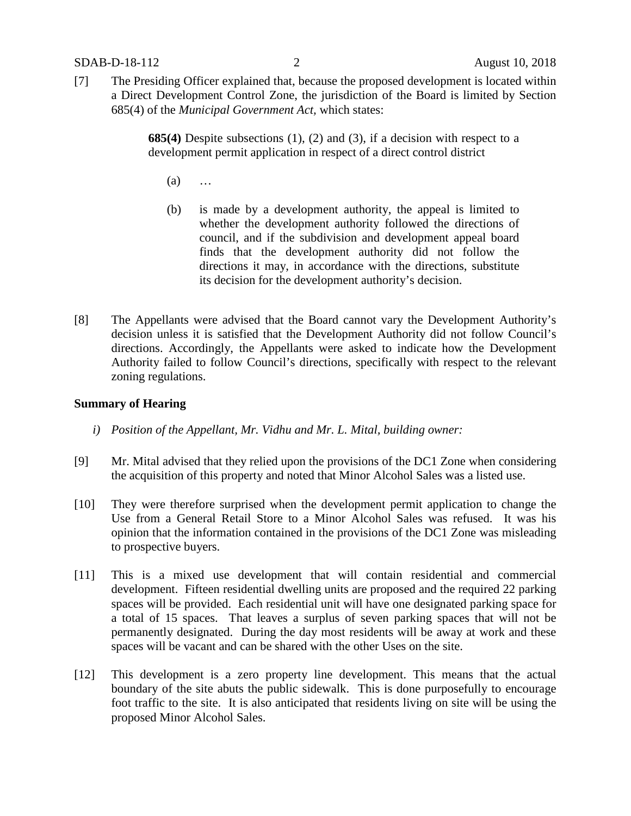[7] The Presiding Officer explained that, because the proposed development is located within a Direct Development Control Zone, the jurisdiction of the Board is limited by Section 685(4) of the *Municipal Government Act,* which states:

> **685(4)** Despite subsections (1), (2) and (3), if a decision with respect to a development permit application in respect of a direct control district

- (a) …
- (b) is made by a development authority, the appeal is limited to whether the development authority followed the directions of council, and if the subdivision and development appeal board finds that the development authority did not follow the directions it may, in accordance with the directions, substitute its decision for the development authority's decision.
- [8] The Appellants were advised that the Board cannot vary the Development Authority's decision unless it is satisfied that the Development Authority did not follow Council's directions. Accordingly, the Appellants were asked to indicate how the Development Authority failed to follow Council's directions, specifically with respect to the relevant zoning regulations.

#### **Summary of Hearing**

- *i) Position of the Appellant, Mr. Vidhu and Mr. L. Mital, building owner:*
- [9] Mr. Mital advised that they relied upon the provisions of the DC1 Zone when considering the acquisition of this property and noted that Minor Alcohol Sales was a listed use.
- [10] They were therefore surprised when the development permit application to change the Use from a General Retail Store to a Minor Alcohol Sales was refused. It was his opinion that the information contained in the provisions of the DC1 Zone was misleading to prospective buyers.
- [11] This is a mixed use development that will contain residential and commercial development. Fifteen residential dwelling units are proposed and the required 22 parking spaces will be provided. Each residential unit will have one designated parking space for a total of 15 spaces. That leaves a surplus of seven parking spaces that will not be permanently designated. During the day most residents will be away at work and these spaces will be vacant and can be shared with the other Uses on the site.
- [12] This development is a zero property line development. This means that the actual boundary of the site abuts the public sidewalk. This is done purposefully to encourage foot traffic to the site. It is also anticipated that residents living on site will be using the proposed Minor Alcohol Sales.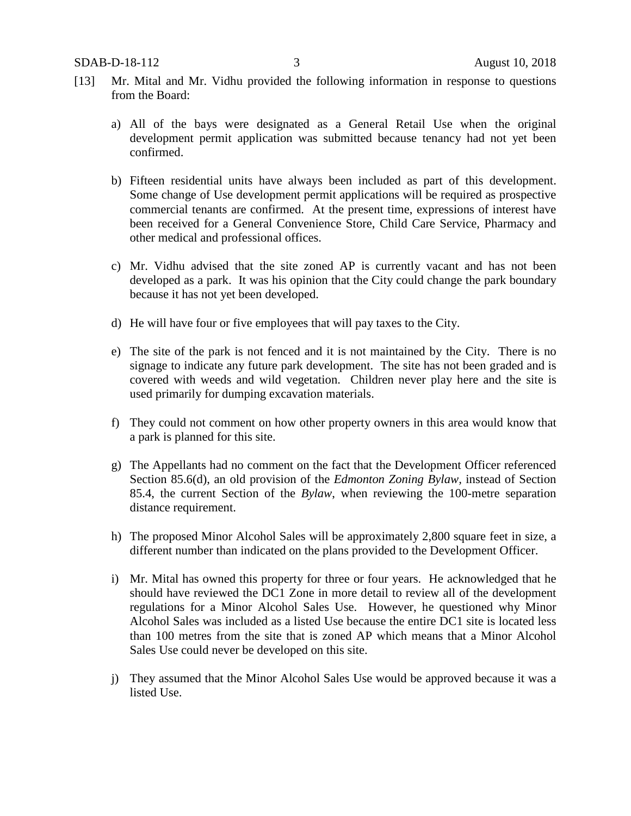- [13] Mr. Mital and Mr. Vidhu provided the following information in response to questions from the Board:
	- a) All of the bays were designated as a General Retail Use when the original development permit application was submitted because tenancy had not yet been confirmed.
	- b) Fifteen residential units have always been included as part of this development. Some change of Use development permit applications will be required as prospective commercial tenants are confirmed. At the present time, expressions of interest have been received for a General Convenience Store, Child Care Service, Pharmacy and other medical and professional offices.
	- c) Mr. Vidhu advised that the site zoned AP is currently vacant and has not been developed as a park. It was his opinion that the City could change the park boundary because it has not yet been developed.
	- d) He will have four or five employees that will pay taxes to the City.
	- e) The site of the park is not fenced and it is not maintained by the City. There is no signage to indicate any future park development. The site has not been graded and is covered with weeds and wild vegetation. Children never play here and the site is used primarily for dumping excavation materials.
	- f) They could not comment on how other property owners in this area would know that a park is planned for this site.
	- g) The Appellants had no comment on the fact that the Development Officer referenced Section 85.6(d), an old provision of the *Edmonton Zoning Bylaw,* instead of Section 85.4, the current Section of the *Bylaw*, when reviewing the 100-metre separation distance requirement.
	- h) The proposed Minor Alcohol Sales will be approximately 2,800 square feet in size, a different number than indicated on the plans provided to the Development Officer.
	- i) Mr. Mital has owned this property for three or four years. He acknowledged that he should have reviewed the DC1 Zone in more detail to review all of the development regulations for a Minor Alcohol Sales Use. However, he questioned why Minor Alcohol Sales was included as a listed Use because the entire DC1 site is located less than 100 metres from the site that is zoned AP which means that a Minor Alcohol Sales Use could never be developed on this site.
	- j) They assumed that the Minor Alcohol Sales Use would be approved because it was a listed Use.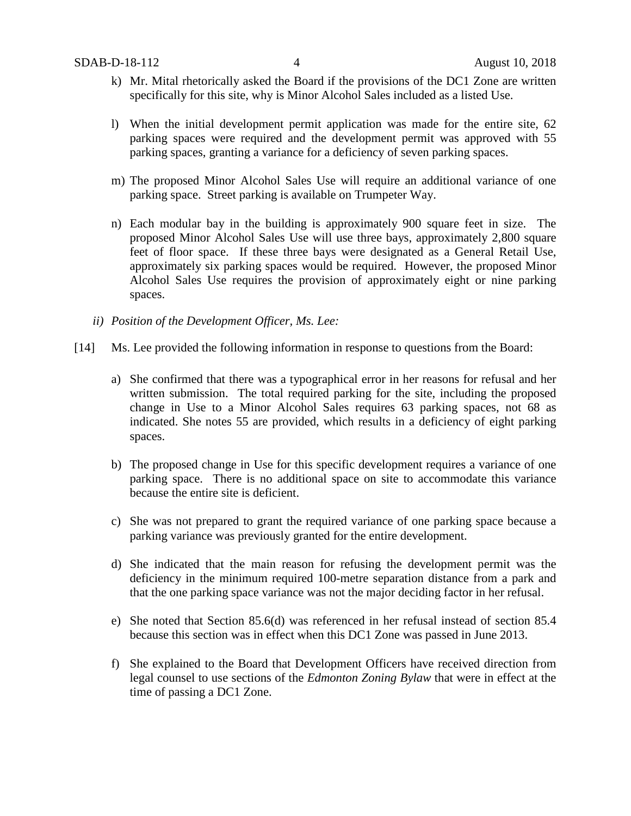- k) Mr. Mital rhetorically asked the Board if the provisions of the DC1 Zone are written specifically for this site, why is Minor Alcohol Sales included as a listed Use.
- l) When the initial development permit application was made for the entire site, 62 parking spaces were required and the development permit was approved with 55 parking spaces, granting a variance for a deficiency of seven parking spaces.
- m) The proposed Minor Alcohol Sales Use will require an additional variance of one parking space. Street parking is available on Trumpeter Way.
- n) Each modular bay in the building is approximately 900 square feet in size. The proposed Minor Alcohol Sales Use will use three bays, approximately 2,800 square feet of floor space. If these three bays were designated as a General Retail Use, approximately six parking spaces would be required. However, the proposed Minor Alcohol Sales Use requires the provision of approximately eight or nine parking spaces.
- *ii) Position of the Development Officer, Ms. Lee:*
- [14] Ms. Lee provided the following information in response to questions from the Board:
	- a) She confirmed that there was a typographical error in her reasons for refusal and her written submission. The total required parking for the site, including the proposed change in Use to a Minor Alcohol Sales requires 63 parking spaces, not 68 as indicated. She notes 55 are provided, which results in a deficiency of eight parking spaces.
	- b) The proposed change in Use for this specific development requires a variance of one parking space. There is no additional space on site to accommodate this variance because the entire site is deficient.
	- c) She was not prepared to grant the required variance of one parking space because a parking variance was previously granted for the entire development.
	- d) She indicated that the main reason for refusing the development permit was the deficiency in the minimum required 100-metre separation distance from a park and that the one parking space variance was not the major deciding factor in her refusal.
	- e) She noted that Section 85.6(d) was referenced in her refusal instead of section 85.4 because this section was in effect when this DC1 Zone was passed in June 2013.
	- f) She explained to the Board that Development Officers have received direction from legal counsel to use sections of the *Edmonton Zoning Bylaw* that were in effect at the time of passing a DC1 Zone.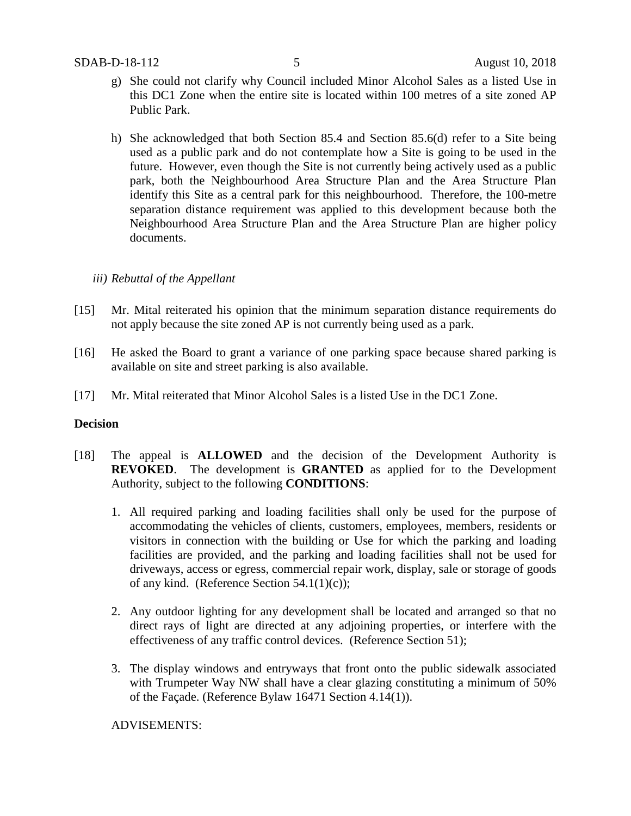- g) She could not clarify why Council included Minor Alcohol Sales as a listed Use in this DC1 Zone when the entire site is located within 100 metres of a site zoned AP Public Park.
- h) She acknowledged that both Section 85.4 and Section 85.6(d) refer to a Site being used as a public park and do not contemplate how a Site is going to be used in the future. However, even though the Site is not currently being actively used as a public park, both the Neighbourhood Area Structure Plan and the Area Structure Plan identify this Site as a central park for this neighbourhood. Therefore, the 100-metre separation distance requirement was applied to this development because both the Neighbourhood Area Structure Plan and the Area Structure Plan are higher policy documents.

#### *iii) Rebuttal of the Appellant*

- [15] Mr. Mital reiterated his opinion that the minimum separation distance requirements do not apply because the site zoned AP is not currently being used as a park.
- [16] He asked the Board to grant a variance of one parking space because shared parking is available on site and street parking is also available.
- [17] Mr. Mital reiterated that Minor Alcohol Sales is a listed Use in the DC1 Zone.

#### **Decision**

- [18] The appeal is **ALLOWED** and the decision of the Development Authority is **REVOKED**. The development is **GRANTED** as applied for to the Development Authority, subject to the following **CONDITIONS**:
	- 1. All required parking and loading facilities shall only be used for the purpose of accommodating the vehicles of clients, customers, employees, members, residents or visitors in connection with the building or Use for which the parking and loading facilities are provided, and the parking and loading facilities shall not be used for driveways, access or egress, commercial repair work, display, sale or storage of goods of any kind. (Reference Section 54.1(1)(c));
	- 2. Any outdoor lighting for any development shall be located and arranged so that no direct rays of light are directed at any adjoining properties, or interfere with the effectiveness of any traffic control devices. (Reference Section 51);
	- 3. The display windows and entryways that front onto the public sidewalk associated with Trumpeter Way NW shall have a clear glazing constituting a minimum of 50% of the Façade. (Reference Bylaw 16471 Section 4.14(1)).

ADVISEMENTS: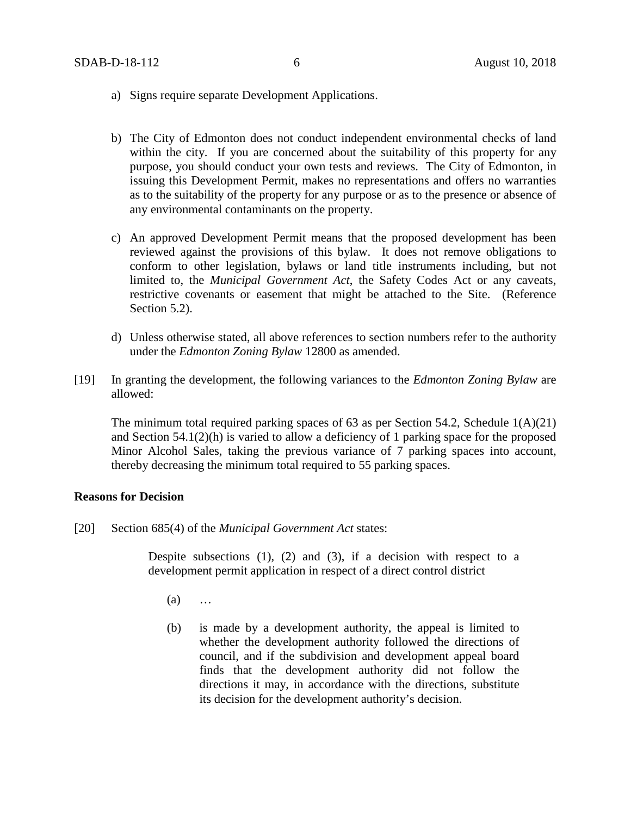- a) Signs require separate Development Applications.
- b) The City of Edmonton does not conduct independent environmental checks of land within the city. If you are concerned about the suitability of this property for any purpose, you should conduct your own tests and reviews. The City of Edmonton, in issuing this Development Permit, makes no representations and offers no warranties as to the suitability of the property for any purpose or as to the presence or absence of any environmental contaminants on the property.
- c) An approved Development Permit means that the proposed development has been reviewed against the provisions of this bylaw. It does not remove obligations to conform to other legislation, bylaws or land title instruments including, but not limited to, the *Municipal Government Act*, the Safety Codes Act or any caveats, restrictive covenants or easement that might be attached to the Site. (Reference Section 5.2).
- d) Unless otherwise stated, all above references to section numbers refer to the authority under the *Edmonton Zoning Bylaw* 12800 as amended.
- [19] In granting the development, the following variances to the *Edmonton Zoning Bylaw* are allowed:

The minimum total required parking spaces of 63 as per Section 54.2, Schedule  $1(A)(21)$ and Section 54.1(2)(h) is varied to allow a deficiency of 1 parking space for the proposed Minor Alcohol Sales, taking the previous variance of 7 parking spaces into account, thereby decreasing the minimum total required to 55 parking spaces.

#### **Reasons for Decision**

[20] Section 685(4) of the *Municipal Government Act* states:

Despite subsections (1), (2) and (3), if a decision with respect to a development permit application in respect of a direct control district

- (a) …
- (b) is made by a development authority, the appeal is limited to whether the development authority followed the directions of council, and if the subdivision and development appeal board finds that the development authority did not follow the directions it may, in accordance with the directions, substitute its decision for the development authority's decision.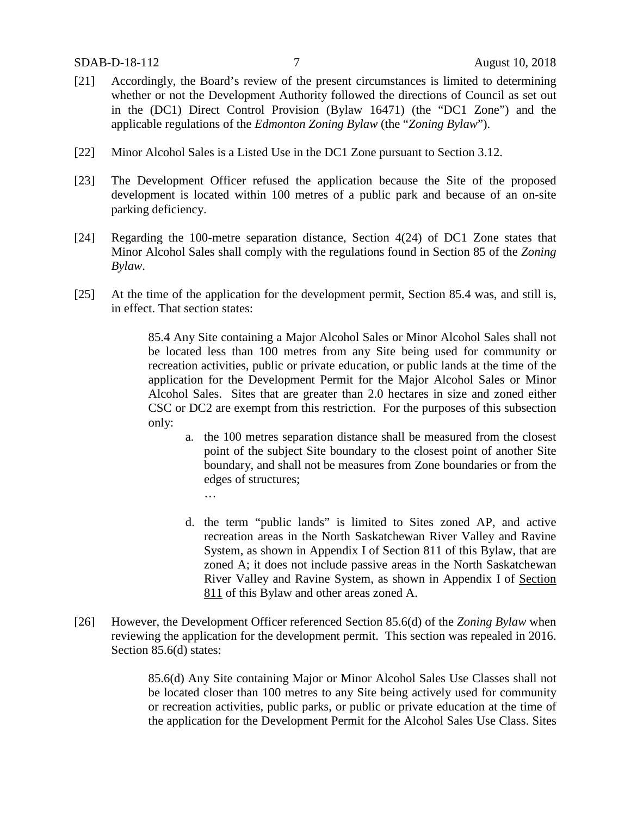- [21] Accordingly, the Board's review of the present circumstances is limited to determining whether or not the Development Authority followed the directions of Council as set out in the (DC1) Direct Control Provision (Bylaw 16471) (the "DC1 Zone") and the applicable regulations of the *Edmonton Zoning Bylaw* (the "*Zoning Bylaw*").
- [22] Minor Alcohol Sales is a Listed Use in the DC1 Zone pursuant to Section 3.12.
- [23] The Development Officer refused the application because the Site of the proposed development is located within 100 metres of a public park and because of an on-site parking deficiency.
- [24] Regarding the 100-metre separation distance, Section 4(24) of DC1 Zone states that Minor Alcohol Sales shall comply with the regulations found in Section 85 of the *Zoning Bylaw*.
- [25] At the time of the application for the development permit, Section 85.4 was, and still is, in effect. That section states:

85.4 Any Site containing a Major Alcohol Sales or Minor Alcohol Sales shall not be located less than 100 metres from any Site being used for community or recreation activities, public or private education, or public lands at the time of the application for the Development Permit for the Major Alcohol Sales or Minor Alcohol Sales. Sites that are greater than 2.0 hectares in size and zoned either CSC or DC2 are exempt from this restriction. For the purposes of this subsection only:

- a. the 100 metres separation distance shall be measured from the closest point of the subject Site boundary to the closest point of another Site boundary, and shall not be measures from Zone boundaries or from the edges of structures;
	- …
- d. the term "public lands" is limited to Sites zoned AP, and active recreation areas in the North Saskatchewan River Valley and Ravine System, as shown in Appendix I of Section 811 of this Bylaw, that are zoned A; it does not include passive areas in the North Saskatchewan River Valley and Ravine System, as shown in Appendix I of Section 811 of this Bylaw and other areas zoned A.
- [26] However, the Development Officer referenced Section 85.6(d) of the *Zoning Bylaw* when reviewing the application for the development permit. This section was repealed in 2016. Section 85.6(d) states:

85.6(d) Any Site containing Major or Minor Alcohol Sales Use Classes shall not be located closer than 100 metres to any Site being actively used for community or recreation activities, public parks, or public or private education at the time of the application for the Development Permit for the Alcohol Sales Use Class. Sites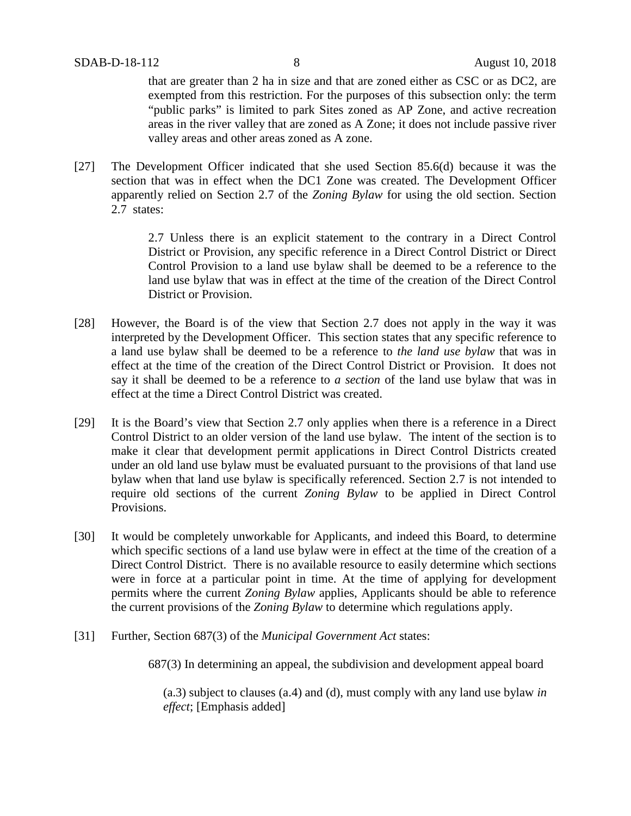that are greater than 2 ha in size and that are zoned either as CSC or as DC2, are exempted from this restriction. For the purposes of this subsection only: the term "public parks" is limited to park Sites zoned as AP Zone, and active recreation areas in the river valley that are zoned as A Zone; it does not include passive river valley areas and other areas zoned as A zone.

[27] The Development Officer indicated that she used Section 85.6(d) because it was the section that was in effect when the DC1 Zone was created. The Development Officer apparently relied on Section 2.7 of the *Zoning Bylaw* for using the old section. Section 2.7 states:

> 2.7 Unless there is an explicit statement to the contrary in a Direct Control District or Provision, any specific reference in a Direct Control District or Direct Control Provision to a land use bylaw shall be deemed to be a reference to the land use bylaw that was in effect at the time of the creation of the Direct Control District or Provision.

- [28] However, the Board is of the view that Section 2.7 does not apply in the way it was interpreted by the Development Officer. This section states that any specific reference to a land use bylaw shall be deemed to be a reference to *the land use bylaw* that was in effect at the time of the creation of the Direct Control District or Provision. It does not say it shall be deemed to be a reference to *a section* of the land use bylaw that was in effect at the time a Direct Control District was created.
- [29] It is the Board's view that Section 2.7 only applies when there is a reference in a Direct Control District to an older version of the land use bylaw. The intent of the section is to make it clear that development permit applications in Direct Control Districts created under an old land use bylaw must be evaluated pursuant to the provisions of that land use bylaw when that land use bylaw is specifically referenced. Section 2.7 is not intended to require old sections of the current *Zoning Bylaw* to be applied in Direct Control Provisions.
- [30] It would be completely unworkable for Applicants, and indeed this Board, to determine which specific sections of a land use bylaw were in effect at the time of the creation of a Direct Control District. There is no available resource to easily determine which sections were in force at a particular point in time. At the time of applying for development permits where the current *Zoning Bylaw* applies, Applicants should be able to reference the current provisions of the *Zoning Bylaw* to determine which regulations apply.
- [31] Further, Section 687(3) of the *Municipal Government Act* states:

687(3) In determining an appeal, the subdivision and development appeal board

(a.3) subject to clauses (a.4) and (d), must comply with any land use bylaw *in effect*; [Emphasis added]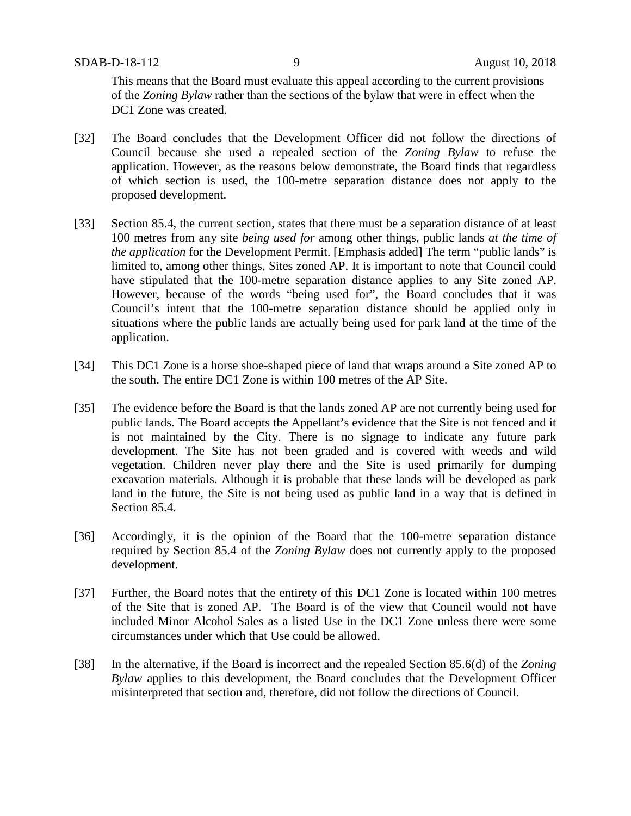This means that the Board must evaluate this appeal according to the current provisions of the *Zoning Bylaw* rather than the sections of the bylaw that were in effect when the DC1 Zone was created.

- [32] The Board concludes that the Development Officer did not follow the directions of Council because she used a repealed section of the *Zoning Bylaw* to refuse the application. However, as the reasons below demonstrate, the Board finds that regardless of which section is used, the 100-metre separation distance does not apply to the proposed development.
- [33] Section 85.4, the current section, states that there must be a separation distance of at least 100 metres from any site *being used for* among other things, public lands *at the time of the application* for the Development Permit. [Emphasis added] The term "public lands" is limited to, among other things, Sites zoned AP. It is important to note that Council could have stipulated that the 100-metre separation distance applies to any Site zoned AP. However, because of the words "being used for", the Board concludes that it was Council's intent that the 100-metre separation distance should be applied only in situations where the public lands are actually being used for park land at the time of the application.
- [34] This DC1 Zone is a horse shoe-shaped piece of land that wraps around a Site zoned AP to the south. The entire DC1 Zone is within 100 metres of the AP Site.
- [35] The evidence before the Board is that the lands zoned AP are not currently being used for public lands. The Board accepts the Appellant's evidence that the Site is not fenced and it is not maintained by the City. There is no signage to indicate any future park development. The Site has not been graded and is covered with weeds and wild vegetation. Children never play there and the Site is used primarily for dumping excavation materials. Although it is probable that these lands will be developed as park land in the future, the Site is not being used as public land in a way that is defined in Section 85.4.
- [36] Accordingly, it is the opinion of the Board that the 100-metre separation distance required by Section 85.4 of the *Zoning Bylaw* does not currently apply to the proposed development.
- [37] Further, the Board notes that the entirety of this DC1 Zone is located within 100 metres of the Site that is zoned AP. The Board is of the view that Council would not have included Minor Alcohol Sales as a listed Use in the DC1 Zone unless there were some circumstances under which that Use could be allowed.
- [38] In the alternative, if the Board is incorrect and the repealed Section 85.6(d) of the *Zoning Bylaw* applies to this development, the Board concludes that the Development Officer misinterpreted that section and, therefore, did not follow the directions of Council.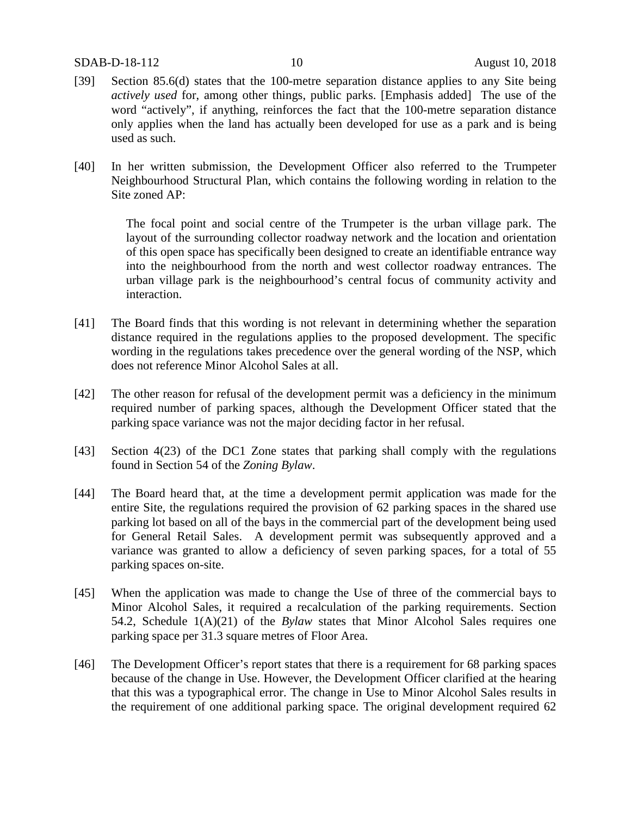- [39] Section 85.6(d) states that the 100-metre separation distance applies to any Site being *actively used* for, among other things, public parks. [Emphasis added] The use of the word "actively", if anything, reinforces the fact that the 100-metre separation distance only applies when the land has actually been developed for use as a park and is being used as such.
- [40] In her written submission, the Development Officer also referred to the Trumpeter Neighbourhood Structural Plan, which contains the following wording in relation to the Site zoned AP:

The focal point and social centre of the Trumpeter is the urban village park. The layout of the surrounding collector roadway network and the location and orientation of this open space has specifically been designed to create an identifiable entrance way into the neighbourhood from the north and west collector roadway entrances. The urban village park is the neighbourhood's central focus of community activity and interaction.

- [41] The Board finds that this wording is not relevant in determining whether the separation distance required in the regulations applies to the proposed development. The specific wording in the regulations takes precedence over the general wording of the NSP, which does not reference Minor Alcohol Sales at all.
- [42] The other reason for refusal of the development permit was a deficiency in the minimum required number of parking spaces, although the Development Officer stated that the parking space variance was not the major deciding factor in her refusal.
- [43] Section 4(23) of the DC1 Zone states that parking shall comply with the regulations found in Section 54 of the *Zoning Bylaw*.
- [44] The Board heard that, at the time a development permit application was made for the entire Site, the regulations required the provision of 62 parking spaces in the shared use parking lot based on all of the bays in the commercial part of the development being used for General Retail Sales. A development permit was subsequently approved and a variance was granted to allow a deficiency of seven parking spaces, for a total of 55 parking spaces on-site.
- [45] When the application was made to change the Use of three of the commercial bays to Minor Alcohol Sales, it required a recalculation of the parking requirements. Section 54.2, Schedule 1(A)(21) of the *Bylaw* states that Minor Alcohol Sales requires one parking space per 31.3 square metres of Floor Area.
- [46] The Development Officer's report states that there is a requirement for 68 parking spaces because of the change in Use. However, the Development Officer clarified at the hearing that this was a typographical error. The change in Use to Minor Alcohol Sales results in the requirement of one additional parking space. The original development required 62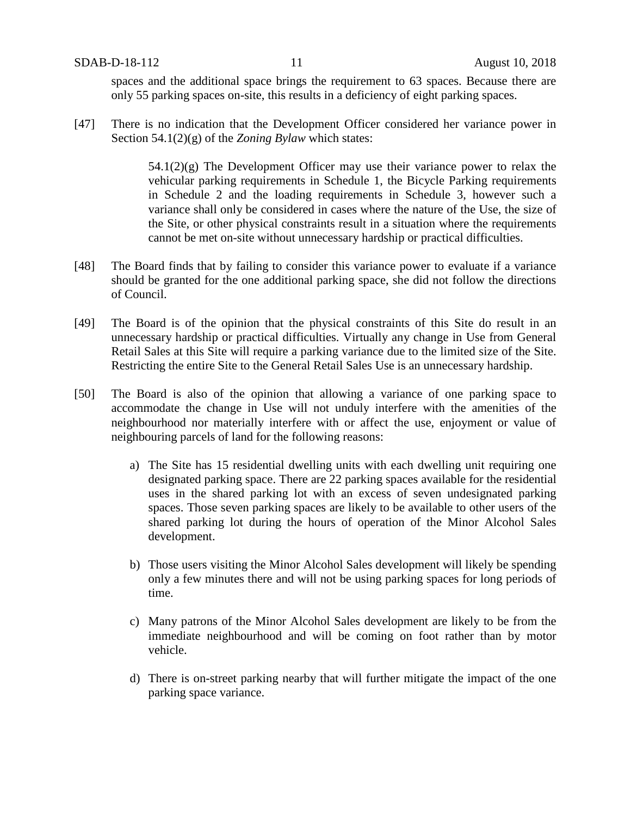spaces and the additional space brings the requirement to 63 spaces. Because there are only 55 parking spaces on-site, this results in a deficiency of eight parking spaces.

[47] There is no indication that the Development Officer considered her variance power in Section 54.1(2)(g) of the *Zoning Bylaw* which states:

> $54.1(2)(g)$  The Development Officer may use their variance power to relax the vehicular parking requirements in Schedule 1, the Bicycle Parking requirements in Schedule 2 and the loading requirements in Schedule 3, however such a variance shall only be considered in cases where the nature of the Use, the size of the Site, or other physical constraints result in a situation where the requirements cannot be met on-site without unnecessary hardship or practical difficulties.

- [48] The Board finds that by failing to consider this variance power to evaluate if a variance should be granted for the one additional parking space, she did not follow the directions of Council.
- [49] The Board is of the opinion that the physical constraints of this Site do result in an unnecessary hardship or practical difficulties. Virtually any change in Use from General Retail Sales at this Site will require a parking variance due to the limited size of the Site. Restricting the entire Site to the General Retail Sales Use is an unnecessary hardship.
- [50] The Board is also of the opinion that allowing a variance of one parking space to accommodate the change in Use will not unduly interfere with the amenities of the neighbourhood nor materially interfere with or affect the use, enjoyment or value of neighbouring parcels of land for the following reasons:
	- a) The Site has 15 residential dwelling units with each dwelling unit requiring one designated parking space. There are 22 parking spaces available for the residential uses in the shared parking lot with an excess of seven undesignated parking spaces. Those seven parking spaces are likely to be available to other users of the shared parking lot during the hours of operation of the Minor Alcohol Sales development.
	- b) Those users visiting the Minor Alcohol Sales development will likely be spending only a few minutes there and will not be using parking spaces for long periods of time.
	- c) Many patrons of the Minor Alcohol Sales development are likely to be from the immediate neighbourhood and will be coming on foot rather than by motor vehicle.
	- d) There is on-street parking nearby that will further mitigate the impact of the one parking space variance.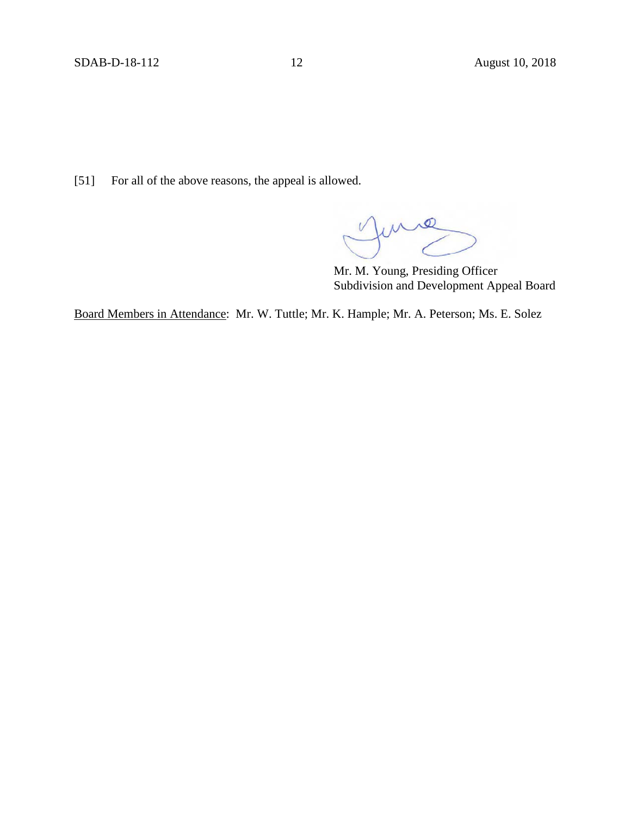[51] For all of the above reasons, the appeal is allowed.

 $\mathbb{R}$ 

Mr. M. Young, Presiding Officer Subdivision and Development Appeal Board

Board Members in Attendance: Mr. W. Tuttle; Mr. K. Hample; Mr. A. Peterson; Ms. E. Solez